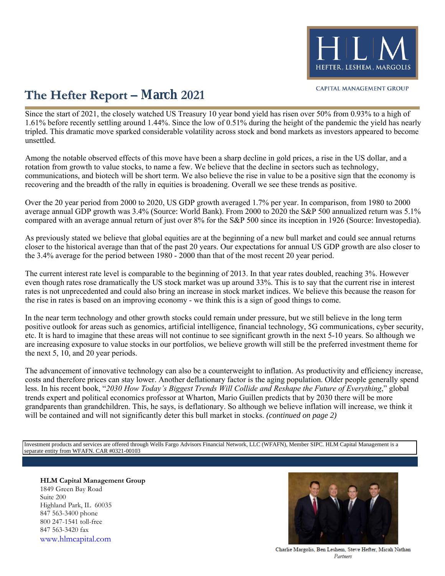

### **The Hefter Report – March 2021**

Since the start of 2021, the closely watched US Treasury 10 year bond yield has risen over 50% from 0.93% to a high of 1.61% before recently settling around 1.44%. Since the low of 0.51% during the height of the pandemic the yield has nearly tripled. This dramatic move sparked considerable volatility across stock and bond markets as investors appeared to become unsettled.

Among the notable observed effects of this move have been a sharp decline in gold prices, a rise in the US dollar, and a rotation from growth to value stocks, to name a few. We believe that the decline in sectors such as technology, communications, and biotech will be short term. We also believe the rise in value to be a positive sign that the economy is recovering and the breadth of the rally in equities is broadening. Overall we see these trends as positive.

Over the 20 year period from 2000 to 2020, US GDP growth averaged 1.7% per year. In comparison, from 1980 to 2000 average annual GDP growth was 3.4% (Source: World Bank). From 2000 to 2020 the S&P 500 annualized return was 5.1% compared with an average annual return of just over 8% for the S&P 500 since its inception in 1926 (Source: Investopedia).

As previously stated we believe that global equities are at the beginning of a new bull market and could see annual returns closer to the historical average than that of the past 20 years. Our expectations for annual US GDP growth are also closer to the 3.4% average for the period between 1980 - 2000 than that of the most recent 20 year period.

The current interest rate level is comparable to the beginning of 2013. In that year rates doubled, reaching 3%. However even though rates rose dramatically the US stock market was up around 33%. This is to say that the current rise in interest rates is not unprecedented and could also bring an increase in stock market indices. We believe this because the reason for the rise in rates is based on an improving economy - we think this is a sign of good things to come.

In the near term technology and other growth stocks could remain under pressure, but we still believe in the long term positive outlook for areas such as genomics, artificial intelligence, financial technology, 5G communications, cyber security, etc. It is hard to imagine that these areas will not continue to see significant growth in the next 5-10 years. So although we are increasing exposure to value stocks in our portfolios, we believe growth will still be the preferred investment theme for the next 5, 10, and 20 year periods.

The advancement of innovative technology can also be a counterweight to inflation. As productivity and efficiency increase, costs and therefore prices can stay lower. Another deflationary factor is the aging population. Older people generally spend less. In his recent book, "*2030 How Today's Biggest Trends Will Collide and Reshape the Future of Everything*," global trends expert and political economics professor at Wharton, Mario Guillen predicts that by 2030 there will be more grandparents than grandchildren. This, he says, is deflationary. So although we believe inflation will increase, we think it will be contained and will not significantly deter this bull market in stocks. *(continued on page 2)*

Investment products and services are offered through Wells Fargo Advisors Financial Network, LLC (WFAFN), Member SIPC. HLM Capital Management is a separate entity from WFAFN. CAR #0321-00103

**HLM Capital Management Group** 1849 Green Bay Road Suite 200 Highland Park, IL 60035 847 563-3400 phone 800 247-1541 toll-free 847 563-3420 fax [www.hlmcapital.com](http://www.hlmcapital.com/)



Charlie Margolis, Ben Leshem, Steve Hefter, Micah Nathan Partners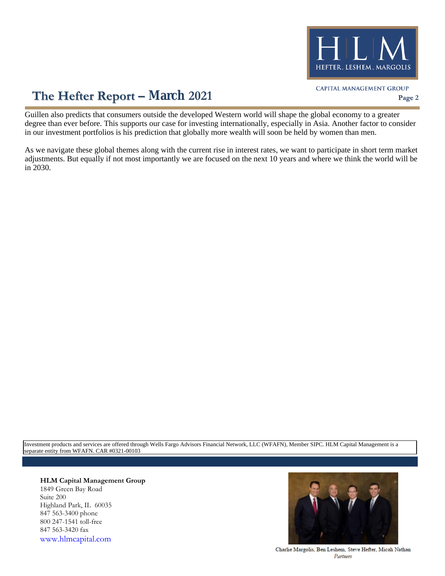

# **The Hefter Report – March 2021 Page 2**

Guillen also predicts that consumers outside the developed Western world will shape the global economy to a greater degree than ever before. This supports our case for investing internationally, especially in Asia. Another factor to consider in our investment portfolios is his prediction that globally more wealth will soon be held by women than men.

As we navigate these global themes along with the current rise in interest rates, we want to participate in short term market adjustments. But equally if not most importantly we are focused on the next 10 years and where we think the world will be in 2030.

Investment products and services are offered through Wells Fargo Advisors Financial Network, LLC (WFAFN), Member SIPC. HLM Capital Management is a separate entity from WFAFN. CAR #0321-00103

### **HLM Capital Management Group**

1849 Green Bay Road Suite 200 Highland Park, IL 60035 847 563-3400 phone 800 247-1541 toll-free 847 563-3420 fax [www.hlmcapital.com](http://www.hlmcapital.com/)



Charlie Margolis, Ben Leshem, Steve Hefter, Micah Nathan Partners